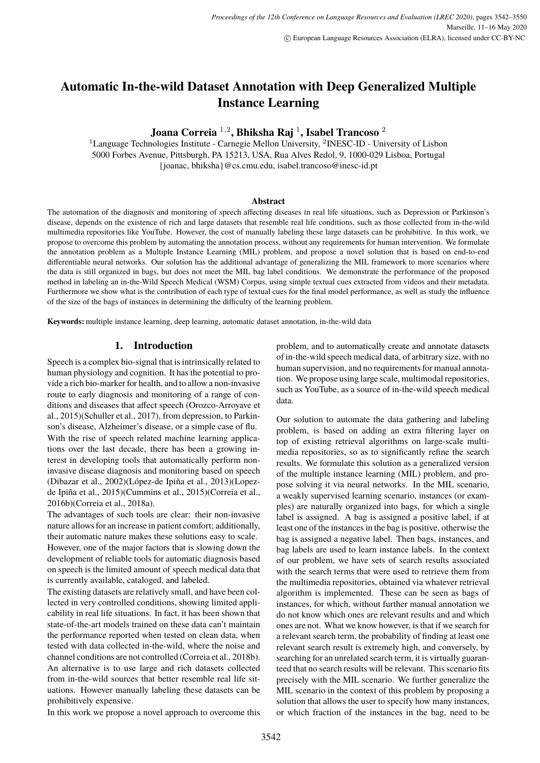# <span id="page-0-0"></span>**Automatic In-the-wild Dataset Annotation with Deep Generalized Multiple Instance Learning**

**Joana Correia** <sup>1</sup>,<sup>2</sup> **, Bhiksha Raj** <sup>1</sup> **, Isabel Trancoso** <sup>2</sup>

<sup>1</sup>Language Technologies Institute - Carnegie Mellon University, <sup>2</sup>INESC-ID - University of Lisbon 5000 Forbes Avenue, Pittsburgh, PA 15213, USA, Rua Alves Redol, 9, 1000-029 Lisboa, Portugal {joanac, bhiksha}@cs.cmu.edu, isabel.trancoso@inesc-id.pt

#### **Abstract**

The automation of the diagnosis and monitoring of speech affecting diseases in real life situations, such as Depression or Parkinson's disease, depends on the existence of rich and large datasets that resemble real life conditions, such as those collected from in-the-wild multimedia repositories like YouTube. However, the cost of manually labeling these large datasets can be prohibitive. In this work, we propose to overcome this problem by automating the annotation process, without any requirements for human intervention. We formulate the annotation problem as a Multiple Instance Learning (MIL) problem, and propose a novel solution that is based on end-to-end differentiable neural networks. Our solution has the additional advantage of generalizing the MIL framework to more scenarios where the data is still organized in bags, but does not meet the MIL bag label conditions. We demonstrate the performance of the proposed method in labeling an in-the-Wild Speech Medical (WSM) Corpus, using simple textual cues extracted from videos and their metadata. Furthermore we show what is the contribution of each type of textual cues for the final model performance, as well as study the influence of the size of the bags of instances in determining the difficulty of the learning problem.

**Keywords:** multiple instance learning, deep learning, automatic dataset annotation, in-the-wild data

#### **1. Introduction**

Speech is a complex bio-signal that is intrinsically related to human physiology and cognition. It has the potential to provide a rich bio-marker for health, and to allow a non-invasive route to early diagnosis and monitoring of a range of conditions and diseases that affect speech (Orozco-Arroyave et al., 2015)(Schuller et al., 2017), from depression, to Parkinson's disease, Alzheimer's disease, or a simple case of flu. With the rise of speech related machine learning applications over the last decade, there has been a growing interest in developing tools that automatically perform noninvasive disease diagnosis and monitoring based on speech (Dibazar et al., 2002)(López-de Ipiña et al., 2013)(Lopezde Ipiña et al., 2015)(Cummins et al., 2015)(Correia et al., 2016b)(Correia et al., 2018a).

The advantages of such tools are clear: their non-invasive nature allows for an increase in patient comfort; additionally, their automatic nature makes these solutions easy to scale. However, one of the major factors that is slowing down the development of reliable tools for automatic diagnosis based on speech is the limited amount of speech medical data that is currently available, cataloged, and labeled.

The existing datasets are relatively small, and have been collected in very controlled conditions, showing limited applicability in real life situations. In fact, it has been shown that state-of-the-art models trained on these data can't maintain the performance reported when tested on clean data, when tested with data collected in-the-wild, where the noise and channel conditions are not controlled (Correia et al., 2018b). An alternative is to use large and rich datasets collected from in-the-wild sources that better resemble real life situations. However manually labeling these datasets can be prohibitively expensive.

In this work we propose a novel approach to overcome this

problem, and to automatically create and annotate datasets of in-the-wild speech medical data, of arbitrary size, with no human supervision, and no requirements for manual annotation. We propose using large scale, multimodal repositories, such as YouTube, as a source of in-the-wild speech medical data.

Our solution to automate the data gathering and labeling problem, is based on adding an extra filtering layer on top of existing retrieval algorithms on large-scale multimedia repositories, so as to significantly refine the search results. We formulate this solution as a generalized version of the multiple instance learning (MIL) problem, and propose solving it via neural networks. In the MIL scenario, a weakly supervised learning scenario, instances (or examples) are naturally organized into bags, for which a single label is assigned. A bag is assigned a positive label, if at least one of the instances in the bag is positive, otherwise the bag is assigned a negative label. Then bags, instances, and bag labels are used to learn instance labels. In the context of our problem, we have sets of search results associated with the search terms that were used to retrieve them from the multimedia repositories, obtained via whatever retrieval algorithm is implemented. These can be seen as bags of instances, for which, without further manual annotation we do not know which ones are relevant results and and which ones are not. What we know however, is that if we search for a relevant search term, the probability of finding at least one relevant search result is extremely high, and conversely, by searching for an unrelated search term, it is virtually guaranteed that no search results will be relevant. This scenario fits precisely with the MIL scenario. We further generalize the MIL scenario in the context of this problem by proposing a solution that allows the user to specify how many instances, or which fraction of the instances in the bag, need to be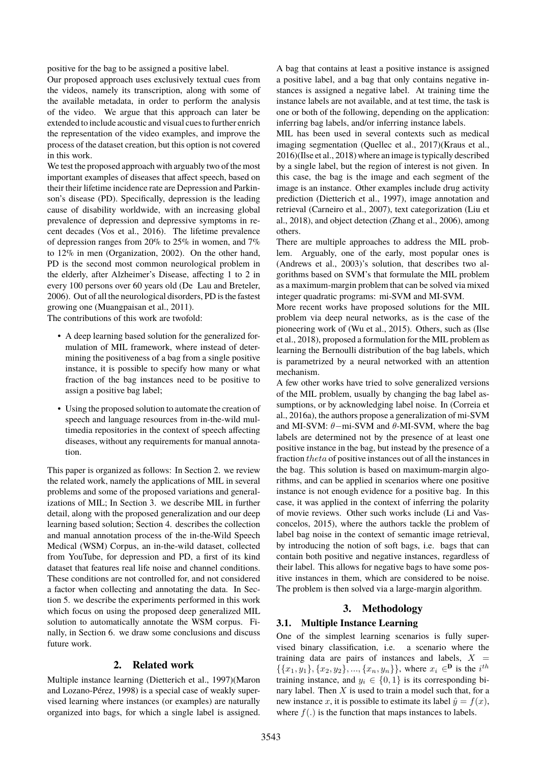positive for the bag to be assigned a positive label.

Our proposed approach uses exclusively textual cues from the videos, namely its transcription, along with some of the available metadata, in order to perform the analysis of the video. We argue that this approach can later be extended to include acoustic and visual cues to further enrich the representation of the video examples, and improve the process of the dataset creation, but this option is not covered in this work.

We test the proposed approach with arguably two of the most important examples of diseases that affect speech, based on their their lifetime incidence rate are Depression and Parkinson's disease (PD). Specifically, depression is the leading cause of disability worldwide, with an increasing global prevalence of depression and depressive symptoms in recent decades [\(Vos et al., 2016\)](#page-0-0). The lifetime prevalence of depression ranges from 20% to 25% in women, and 7% to 12% in men [\(Organization, 2002\)](#page-0-0). On the other hand, PD is the second most common neurological problem in the elderly, after Alzheimer's Disease, affecting 1 to 2 in every 100 persons over 60 years old [\(De Lau and Breteler,](#page-0-0) [2006\)](#page-0-0). Out of all the neurological disorders, PD is the fastest growing one [\(Muangpaisan et al., 2011\)](#page-0-0).

The contributions of this work are twofold:

- A deep learning based solution for the generalized formulation of MIL framework, where instead of determining the positiveness of a bag from a single positive instance, it is possible to specify how many or what fraction of the bag instances need to be positive to assign a positive bag label;
- Using the proposed solution to automate the creation of speech and language resources from in-the-wild multimedia repositories in the context of speech affecting diseases, without any requirements for manual annotation.

This paper is organized as follows: In Section [2.](#page-1-0) we review the related work, namely the applications of MIL in several problems and some of the proposed variations and generalizations of MIL; In Section [3.](#page-1-1) we describe MIL in further detail, along with the proposed generalization and our deep learning based solution; Section [4.](#page-3-0) describes the collection and manual annotation process of the in-the-Wild Speech Medical (WSM) Corpus, an in-the-wild dataset, collected from YouTube, for depression and PD, a first of its kind dataset that features real life noise and channel conditions. These conditions are not controlled for, and not considered a factor when collecting and annotating the data. In Section [5.](#page-3-1) we describe the experiments performed in this work which focus on using the proposed deep generalized MIL solution to automatically annotate the WSM corpus. Finally, in Section [6.](#page-6-0) we draw some conclusions and discuss future work.

# **2. Related work**

<span id="page-1-0"></span>Multiple instance learning [\(Dietterich et al., 1997\)\(Maron](#page-0-0) [and Lozano-Pérez, 1998\)](#page-0-0) is a special case of weakly supervised learning where instances (or examples) are naturally organized into bags, for which a single label is assigned.

A bag that contains at least a positive instance is assigned a positive label, and a bag that only contains negative instances is assigned a negative label. At training time the instance labels are not available, and at test time, the task is one or both of the following, depending on the application: inferring bag labels, and/or inferring instance labels.

MIL has been used in several contexts such as medical imaging segmentation [\(Quellec et al., 2017\)\(Kraus et al.,](#page-0-0) [2016\)\(Ilse et al., 2018\)](#page-0-0) where an image is typically described by a single label, but the region of interest is not given. In this case, the bag is the image and each segment of the image is an instance. Other examples include drug activity prediction [\(Dietterich et al., 1997\)](#page-0-0), image annotation and retrieval [\(Carneiro et al., 2007\)](#page-0-0), text categorization [\(Liu et](#page-0-0) [al., 2018\)](#page-0-0), and object detection [\(Zhang et al., 2006\)](#page-0-0), among others.

There are multiple approaches to address the MIL problem. Arguably, one of the early, most popular ones is [\(Andrews et al., 2003\)](#page-0-0)'s solution, that describes two algorithms based on SVM's that formulate the MIL problem as a maximum-margin problem that can be solved via mixed integer quadratic programs: mi-SVM and MI-SVM.

More recent works have proposed solutions for the MIL problem via deep neural networks, as is the case of the pioneering work of [\(Wu et al., 2015\)](#page-0-0). Others, such as [\(Ilse](#page-0-0) [et al., 2018\)](#page-0-0), proposed a formulation for the MIL problem as learning the Bernoulli distribution of the bag labels, which is parametrized by a neural networked with an attention mechanism.

A few other works have tried to solve generalized versions of the MIL problem, usually by changing the bag label assumptions, or by acknowledging label noise. In [\(Correia et](#page-0-0) [al., 2016a\)](#page-0-0), the authors propose a generalization of mi-SVM and MI-SVM:  $\theta$ -mi-SVM and  $\theta$ -MI-SVM, where the bag labels are determined not by the presence of at least one positive instance in the bag, but instead by the presence of a fraction theta of positive instances out of all the instances in the bag. This solution is based on maximum-margin algorithms, and can be applied in scenarios where one positive instance is not enough evidence for a positive bag. In this case, it was applied in the context of inferring the polarity of movie reviews. Other such works include [\(Li and Vas](#page-0-0)[concelos, 2015\)](#page-0-0), where the authors tackle the problem of label bag noise in the context of semantic image retrieval, by introducing the notion of soft bags, i.e. bags that can contain both positive and negative instances, regardless of their label. This allows for negative bags to have some positive instances in them, which are considered to be noise. The problem is then solved via a large-margin algorithm.

## **3. Methodology**

#### <span id="page-1-1"></span>**3.1. Multiple Instance Learning**

One of the simplest learning scenarios is fully supervised binary classification, i.e. a scenario where the training data are pairs of instances and labels,  $X =$  $\{\{x_1, y_1\}, \{x_2, y_2\}, ..., \{x_n, y_n\}\}\,$ , where  $x_i \in \mathbf{D}$  is the  $i^{th}$ training instance, and  $y_i \in \{0, 1\}$  is its corresponding binary label. Then  $X$  is used to train a model such that, for a new instance x, it is possible to estimate its label  $\hat{y} = f(x)$ , where  $f(.)$  is the function that maps instances to labels.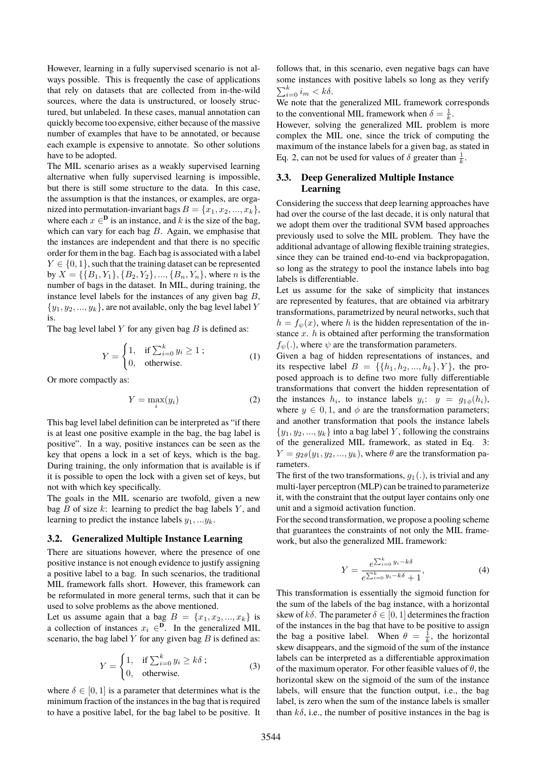However, learning in a fully supervised scenario is not always possible. This is frequently the case of applications that rely on datasets that are collected from in-the-wild sources, where the data is unstructured, or loosely structured, but unlabeled. In these cases, manual annotation can quickly become too expensive, either because of the massive number of examples that have to be annotated, or because each example is expensive to annotate. So other solutions have to be adopted.

The MIL scenario arises as a weakly supervised learning alternative when fully supervised learning is impossible, but there is still some structure to the data. In this case, the assumption is that the instances, or examples, are organized into permutation-invariant bags  $B = \{x_1, x_2, ..., x_k\},\$ where each  $x \in \mathbb{R}^n$  is an instance, and k is the size of the bag, which can vary for each bag  $B$ . Again, we emphasise that the instances are independent and that there is no specific order for them in the bag. Each bag is associated with a label  $Y \in \{0, 1\}$ , such that the training dataset can be represented by  $X = \{\{B_1, Y_1\}, \{B_2, Y_2\}, \dots, \{B_n, Y_n\}$ , where *n* is the number of bags in the dataset. In MIL, during training, the instance level labels for the instances of any given bag  $B$ ,  $\{y_1, y_2, ..., y_k\}$ , are not available, only the bag level label Y is.

The bag level label  $Y$  for any given bag  $B$  is defined as:

$$
Y = \begin{cases} 1, & \text{if } \sum_{i=0}^{k} y_i \ge 1; \\ 0, & \text{otherwise.} \end{cases}
$$
 (1)

Or more compactly as:

<span id="page-2-0"></span>
$$
Y = \max_{i}(y_i) \tag{2}
$$

This bag level label definition can be interpreted as "if there is at least one positive example in the bag, the bag label is positive". In a way, positive instances can be seen as the key that opens a lock in a set of keys, which is the bag. During training, the only information that is available is if it is possible to open the lock with a given set of keys, but not with which key specifically.

The goals in the MIL scenario are twofold, given a new bag  $B$  of size  $k$ : learning to predict the bag labels  $Y$ , and learning to predict the instance labels  $y_1, \ldots y_k$ .

#### **3.2. Generalized Multiple Instance Learning**

There are situations however, where the presence of one positive instance is not enough evidence to justify assigning a positive label to a bag. In such scenarios, the traditional MIL framework falls short. However, this framework can be reformulated in more general terms, such that it can be used to solve problems as the above mentioned.

<span id="page-2-1"></span>Let us assume again that a bag  $B = \{x_1, x_2, ..., x_k\}$  is a collection of instances  $x_i \in \mathbb{P}$ . In the generalized MIL scenario, the bag label  $Y$  for any given bag  $B$  is defined as:

$$
Y = \begin{cases} 1, & \text{if } \sum_{i=0}^{k} y_i \ge k\delta ; \\ 0, & \text{otherwise.} \end{cases}
$$
 (3)

where  $\delta \in [0, 1]$  is a parameter that determines what is the minimum fraction of the instances in the bag that is required to have a positive label, for the bag label to be positive. It follows that, in this scenario, even negative bags can have some instances with positive labels so long as they verify  $\sum_{i=0}^{k} i_m < k\delta.$ 

We note that the generalized MIL framework corresponds to the conventional MIL framework when  $\delta = \frac{1}{k}$ .

However, solving the generalized MIL problem is more complex the MIL one, since the trick of computing the maximum of the instance labels for a given bag, as stated in Eq. [2,](#page-2-0) can not be used for values of  $\delta$  greater than  $\frac{1}{k}$ .

# **3.3. Deep Generalized Multiple Instance Learning**

Considering the success that deep learning approaches have had over the course of the last decade, it is only natural that we adopt them over the traditional SVM based approaches previously used to solve the MIL problem. They have the additional advantage of allowing flexible training strategies, since they can be trained end-to-end via backpropagation, so long as the strategy to pool the instance labels into bag labels is differentiable.

Let us assume for the sake of simplicity that instances are represented by features, that are obtained via arbitrary transformations, parametrized by neural networks, such that  $h = f_{\psi}(x)$ , where h is the hidden representation of the instance  $x$ .  $h$  is obtained after performing the transformation  $f_{\psi}(.)$ , where  $\psi$  are the transformation parameters.

Given a bag of hidden representations of instances, and its respective label  $B = \{ \{h_1, h_2, ..., h_k\}, Y \}$ , the proposed approach is to define two more fully differentiable transformations that convert the hidden representation of the instances  $h_i$ , to instance labels  $y_i$ :  $y = g_{1\phi}(h_i)$ , where  $y \in 0, 1$ , and  $\phi$  are the transformation parameters; and another transformation that pools the instance labels  $\{y_1, y_2, ..., y_k\}$  into a bag label Y, following the constrains of the generalized MIL framework, as stated in Eq. [3:](#page-2-1)  $Y = g_{2\theta}(y_1, y_2, ..., y_k)$ , where  $\theta$  are the transformation parameters.

The first of the two transformations,  $q_1(.)$ , is trivial and any multi-layer perceptron (MLP) can be trained to parameterize it, with the constraint that the output layer contains only one unit and a sigmoid activation function.

<span id="page-2-2"></span>For the second transformation, we propose a pooling scheme that guarantees the constraints of not only the MIL framework, but also the generalized MIL framework:

$$
Y = \frac{e^{\sum_{i=0}^{k} y_i - k\delta}}{e^{\sum_{i=0}^{k} y_i - k\delta} + 1},\tag{4}
$$

This transformation is essentially the sigmoid function for the sum of the labels of the bag instance, with a horizontal skew of  $k\delta$ . The parameter  $\delta \in [0, 1]$  determines the fraction of the instances in the bag that have to be positive to assign the bag a positive label. When  $\theta = \frac{1}{k}$ , the horizontal skew disappears, and the sigmoid of the sum of the instance labels can be interpreted as a differentiable approximation of the maximum operator. For other feasible values of  $\theta$ , the horizontal skew on the sigmoid of the sum of the instance labels, will ensure that the function output, i.e., the bag label, is zero when the sum of the instance labels is smaller than  $k\delta$ , i.e., the number of positive instances in the bag is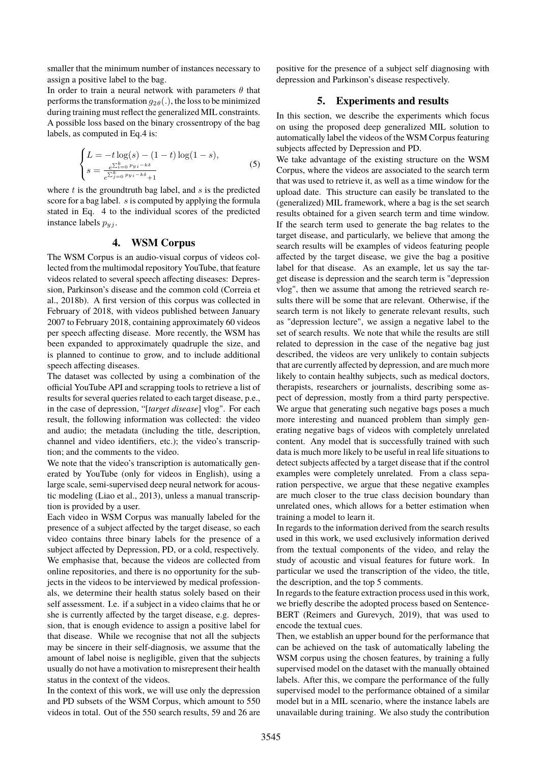smaller that the minimum number of instances necessary to assign a positive label to the bag.

In order to train a neural network with parameters  $\theta$  that performs the transformation  $q_{2\theta}$ (.), the loss to be minimized during training must reflect the generalized MIL constraints. A possible loss based on the binary crossentropy of the bag labels, as computed in Eq[.4](#page-2-2) is:

<span id="page-3-2"></span>
$$
\begin{cases}\nL = -t \log(s) - (1 - t) \log(1 - s), \\
s = \frac{e^{\sum_{i=0}^{k} p_{yi} - k\delta}}{e^{\sum_{j=0}^{k} p_{yi} - k\delta} + 1}\n\end{cases}
$$
\n(5)

where  $t$  is the groundtruth bag label, and  $s$  is the predicted score for a bag label. *s* is computed by applying the formula stated in Eq. [4](#page-2-2) to the individual scores of the predicted instance labels  $p_{yj}$ .

# **4. WSM Corpus**

<span id="page-3-0"></span>The WSM Corpus is an audio-visual corpus of videos collected from the multimodal repository YouTube, that feature videos related to several speech affecting diseases: Depression, Parkinson's disease and the common cold [\(Correia et](#page-0-0) [al., 2018b\)](#page-0-0). A first version of this corpus was collected in February of 2018, with videos published between January 2007 to February 2018, containing approximately 60 videos per speech affecting disease. More recently, the WSM has been expanded to approximately quadruple the size, and is planned to continue to grow, and to include additional speech affecting diseases.

The dataset was collected by using a combination of the official YouTube API and scrapping tools to retrieve a list of results for several queries related to each target disease, p.e., in the case of depression, "[*target disease*] vlog". For each result, the following information was collected: the video and audio; the metadata (including the title, description, channel and video identifiers, etc.); the video's transcription; and the comments to the video.

We note that the video's transcription is automatically generated by YouTube (only for videos in English), using a large scale, semi-supervised deep neural network for acoustic modeling [\(Liao et al., 2013\)](#page-0-0), unless a manual transcription is provided by a user.

Each video in WSM Corpus was manually labeled for the presence of a subject affected by the target disease, so each video contains three binary labels for the presence of a subject affected by Depression, PD, or a cold, respectively. We emphasise that, because the videos are collected from online repositories, and there is no opportunity for the subjects in the videos to be interviewed by medical professionals, we determine their health status solely based on their self assessment. I.e. if a subject in a video claims that he or she is currently affected by the target disease, e.g. depression, that is enough evidence to assign a positive label for that disease. While we recognise that not all the subjects may be sincere in their self-diagnosis, we assume that the amount of label noise is negligible, given that the subjects usually do not have a motivation to misrepresent their health status in the context of the videos.

In the context of this work, we will use only the depression and PD subsets of the WSM Corpus, which amount to 550 videos in total. Out of the 550 search results, 59 and 26 are positive for the presence of a subject self diagnosing with depression and Parkinson's disease respectively.

#### **5. Experiments and results**

<span id="page-3-1"></span>In this section, we describe the experiments which focus on using the proposed deep generalized MIL solution to automatically label the videos of the WSM Corpus featuring subjects affected by Depression and PD.

We take advantage of the existing structure on the WSM Corpus, where the videos are associated to the search term that was used to retrieve it, as well as a time window for the upload date. This structure can easily be translated to the (generalized) MIL framework, where a bag is the set search results obtained for a given search term and time window. If the search term used to generate the bag relates to the target disease, and particularly, we believe that among the search results will be examples of videos featuring people affected by the target disease, we give the bag a positive label for that disease. As an example, let us say the target disease is depression and the search term is "depression vlog", then we assume that among the retrieved search results there will be some that are relevant. Otherwise, if the search term is not likely to generate relevant results, such as "depression lecture", we assign a negative label to the set of search results. We note that while the results are still related to depression in the case of the negative bag just described, the videos are very unlikely to contain subjects that are currently affected by depression, and are much more likely to contain healthy subjects, such as medical doctors, therapists, researchers or journalists, describing some aspect of depression, mostly from a third party perspective. We argue that generating such negative bags poses a much more interesting and nuanced problem than simply generating negative bags of videos with completely unrelated content. Any model that is successfully trained with such data is much more likely to be useful in real life situations to detect subjects affected by a target disease that if the control examples were completely unrelated. From a class separation perspective, we argue that these negative examples are much closer to the true class decision boundary than unrelated ones, which allows for a better estimation when training a model to learn it.

In regards to the information derived from the search results used in this work, we used exclusively information derived from the textual components of the video, and relay the study of acoustic and visual features for future work. In particular we used the transcription of the video, the title, the description, and the top 5 comments.

In regards to the feature extraction process used in this work, we briefly describe the adopted process based on Sentence-BERT [\(Reimers and Gurevych, 2019\)](#page-0-0), that was used to encode the textual cues.

Then, we establish an upper bound for the performance that can be achieved on the task of automatically labeling the WSM corpus using the chosen features, by training a fully supervised model on the dataset with the manually obtained labels. After this, we compare the performance of the fully supervised model to the performance obtained of a similar model but in a MIL scenario, where the instance labels are unavailable during training. We also study the contribution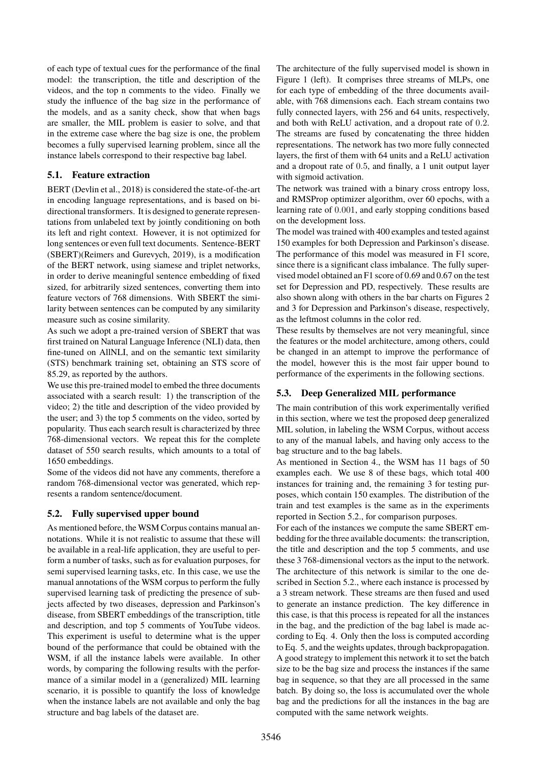of each type of textual cues for the performance of the final model: the transcription, the title and description of the videos, and the top n comments to the video. Finally we study the influence of the bag size in the performance of the models, and as a sanity check, show that when bags are smaller, the MIL problem is easier to solve, and that in the extreme case where the bag size is one, the problem becomes a fully supervised learning problem, since all the instance labels correspond to their respective bag label.

# **5.1. Feature extraction**

BERT [\(Devlin et al., 2018\)](#page-0-0) is considered the state-of-the-art in encoding language representations, and is based on bidirectional transformers. It is designed to generate representations from unlabeled text by jointly conditioning on both its left and right context. However, it is not optimized for long sentences or even full text documents. Sentence-BERT (SBERT)[\(Reimers and Gurevych, 2019\)](#page-0-0), is a modification of the BERT network, using siamese and triplet networks, in order to derive meaningful sentence embedding of fixed sized, for arbitrarily sized sentences, converting them into feature vectors of 768 dimensions. With SBERT the similarity between sentences can be computed by any similarity measure such as cosine similarity.

As such we adopt a pre-trained version of SBERT that was first trained on Natural Language Inference (NLI) data, then fine-tuned on AllNLI, and on the semantic text similarity (STS) benchmark training set, obtaining an STS score of 85.29, as reported by the authors.

We use this pre-trained model to embed the three documents associated with a search result: 1) the transcription of the video; 2) the title and description of the video provided by the user; and 3) the top 5 comments on the video, sorted by popularity. Thus each search result is characterized by three 768-dimensional vectors. We repeat this for the complete dataset of 550 search results, which amounts to a total of 1650 embeddings.

Some of the videos did not have any comments, therefore a random 768-dimensional vector was generated, which represents a random sentence/document.

# <span id="page-4-0"></span>**5.2. Fully supervised upper bound**

As mentioned before, the WSM Corpus contains manual annotations. While it is not realistic to assume that these will be available in a real-life application, they are useful to perform a number of tasks, such as for evaluation purposes, for semi supervised learning tasks, etc. In this case, we use the manual annotations of the WSM corpus to perform the fully supervised learning task of predicting the presence of subjects affected by two diseases, depression and Parkinson's disease, from SBERT embeddings of the transcription, title and description, and top 5 comments of YouTube videos. This experiment is useful to determine what is the upper bound of the performance that could be obtained with the WSM, if all the instance labels were available. In other words, by comparing the following results with the performance of a similar model in a (generalized) MIL learning scenario, it is possible to quantify the loss of knowledge when the instance labels are not available and only the bag structure and bag labels of the dataset are.

The architecture of the fully supervised model is shown in Figure [1](#page-5-0) (left). It comprises three streams of MLPs, one for each type of embedding of the three documents available, with 768 dimensions each. Each stream contains two fully connected layers, with 256 and 64 units, respectively, and both with ReLU activation, and a dropout rate of 0.2. The streams are fused by concatenating the three hidden representations. The network has two more fully connected layers, the first of them with 64 units and a ReLU activation and a dropout rate of 0.5, and finally, a 1 unit output layer with sigmoid activation.

The network was trained with a binary cross entropy loss, and RMSProp optimizer algorithm, over 60 epochs, with a learning rate of 0.001, and early stopping conditions based on the development loss.

The model was trained with 400 examples and tested against 150 examples for both Depression and Parkinson's disease. The performance of this model was measured in F1 score, since there is a significant class imbalance. The fully supervised model obtained an F1 score of 0.69 and 0.67 on the test set for Depression and PD, respectively. These results are also shown along with others in the bar charts on Figures [2](#page-5-1) and [3](#page-5-2) for Depression and Parkinson's disease, respectively, as the leftmost columns in the color red.

These results by themselves are not very meaningful, since the features or the model architecture, among others, could be changed in an attempt to improve the performance of the model, however this is the most fair upper bound to performance of the experiments in the following sections.

# <span id="page-4-1"></span>**5.3. Deep Generalized MIL performance**

The main contribution of this work experimentally verified in this section, where we test the proposed deep generalized MIL solution, in labeling the WSM Corpus, without access to any of the manual labels, and having only access to the bag structure and to the bag labels.

As mentioned in Section [4.,](#page-3-0) the WSM has 11 bags of 50 examples each. We use 8 of these bags, which total 400 instances for training and, the remaining 3 for testing purposes, which contain 150 examples. The distribution of the train and test examples is the same as in the experiments reported in Section [5.2.,](#page-4-0) for comparison purposes.

For each of the instances we compute the same SBERT embedding for the three available documents: the transcription, the title and description and the top 5 comments, and use these 3 768-dimensional vectors as the input to the network. The architecture of this network is similar to the one described in Section [5.2.,](#page-4-0) where each instance is processed by a 3 stream network. These streams are then fused and used to generate an instance prediction. The key difference in this case, is that this process is repeated for all the instances in the bag, and the prediction of the bag label is made according to Eq. [4.](#page-2-2) Only then the loss is computed according to Eq. [5,](#page-3-2) and the weights updates, through backpropagation. A good strategy to implement this network it to set the batch size to be the bag size and process the instances if the same bag in sequence, so that they are all processed in the same batch. By doing so, the loss is accumulated over the whole bag and the predictions for all the instances in the bag are computed with the same network weights.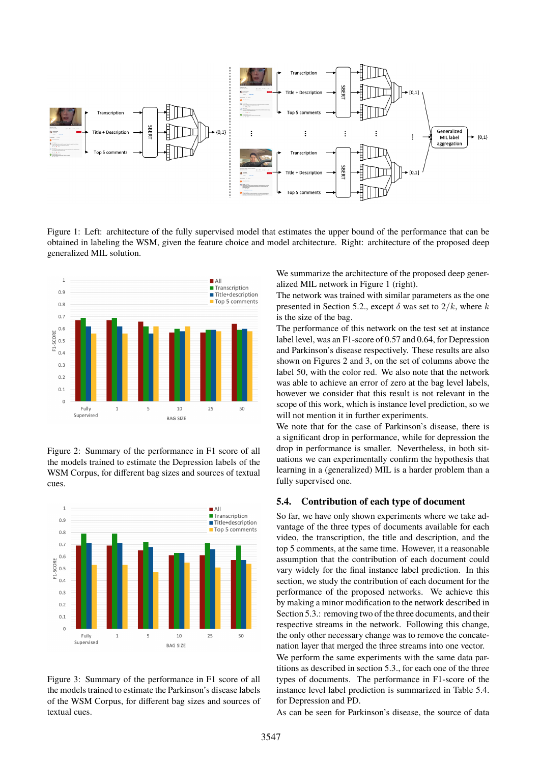

<span id="page-5-0"></span>Figure 1: Left: architecture of the fully supervised model that estimates the upper bound of the performance that can be obtained in labeling the WSM, given the feature choice and model architecture. Right: architecture of the proposed deep generalized MIL solution.



<span id="page-5-1"></span>Figure 2: Summary of the performance in F1 score of all the models trained to estimate the Depression labels of the WSM Corpus, for different bag sizes and sources of textual cues.



<span id="page-5-2"></span>Figure 3: Summary of the performance in F1 score of all the models trained to estimate the Parkinson's disease labels of the WSM Corpus, for different bag sizes and sources of textual cues.

We summarize the architecture of the proposed deep generalized MIL network in Figure [1](#page-5-0) (right).

The network was trained with similar parameters as the one presented in Section [5.2.,](#page-4-0) except  $\delta$  was set to  $2/k$ , where k is the size of the bag.

The performance of this network on the test set at instance label level, was an F1-score of 0.57 and 0.64, for Depression and Parkinson's disease respectively. These results are also shown on Figures [2](#page-5-1) and [3,](#page-5-2) on the set of columns above the label 50, with the color red. We also note that the network was able to achieve an error of zero at the bag level labels, however we consider that this result is not relevant in the scope of this work, which is instance level prediction, so we will not mention it in further experiments.

We note that for the case of Parkinson's disease, there is a significant drop in performance, while for depression the drop in performance is smaller. Nevertheless, in both situations we can experimentally confirm the hypothesis that learning in a (generalized) MIL is a harder problem than a fully supervised one.

# <span id="page-5-3"></span>**5.4. Contribution of each type of document**

So far, we have only shown experiments where we take advantage of the three types of documents available for each video, the transcription, the title and description, and the top 5 comments, at the same time. However, it a reasonable assumption that the contribution of each document could vary widely for the final instance label prediction. In this section, we study the contribution of each document for the performance of the proposed networks. We achieve this by making a minor modification to the network described in Section [5.3.:](#page-4-1) removing two of the three documents, and their respective streams in the network. Following this change, the only other necessary change was to remove the concatenation layer that merged the three streams into one vector.

We perform the same experiments with the same data partitions as described in section [5.3.,](#page-4-1) for each one of the three types of documents. The performance in F1-score of the instance level label prediction is summarized in Table [5.4.](#page-5-3) for Depression and PD.

As can be seen for Parkinson's disease, the source of data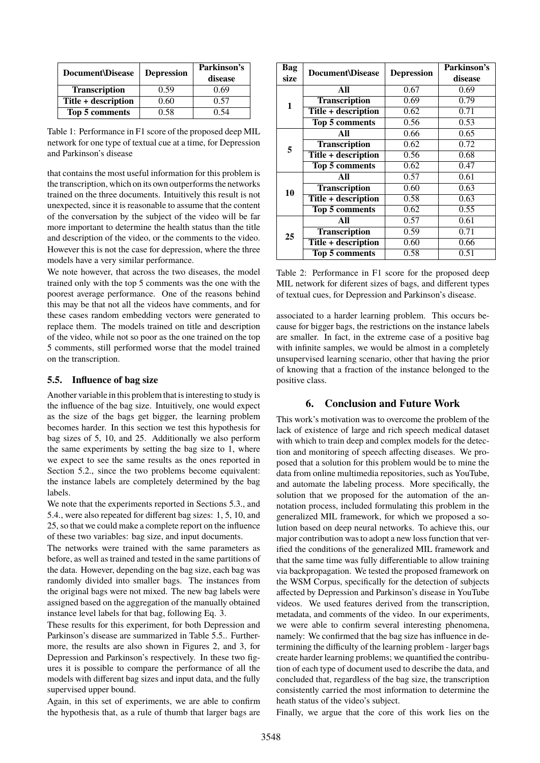| Document\Disease      | <b>Depression</b> | Parkinson's<br>disease |
|-----------------------|-------------------|------------------------|
| <b>Transcription</b>  | 0.59              | 0.69                   |
| Title + description   | 0.60              | 0.57                   |
| <b>Top 5 comments</b> | 0.58              | 0.54                   |

Table 1: Performance in F1 score of the proposed deep MIL network for one type of textual cue at a time, for Depression and Parkinson's disease

that contains the most useful information for this problem is the transcription, which on its own outperforms the networks trained on the three documents. Intuitively this result is not unexpected, since it is reasonable to assume that the content of the conversation by the subject of the video will be far more important to determine the health status than the title and description of the video, or the comments to the video. However this is not the case for depression, where the three models have a very similar performance.

We note however, that across the two diseases, the model trained only with the top 5 comments was the one with the poorest average performance. One of the reasons behind this may be that not all the videos have comments, and for these cases random embedding vectors were generated to replace them. The models trained on title and description of the video, while not so poor as the one trained on the top 5 comments, still performed worse that the model trained on the transcription.

### <span id="page-6-1"></span>**5.5. Influence of bag size**

Another variable in this problem that is interesting to study is the influence of the bag size. Intuitively, one would expect as the size of the bags get bigger, the learning problem becomes harder. In this section we test this hypothesis for bag sizes of 5, 10, and 25. Additionally we also perform the same experiments by setting the bag size to 1, where we expect to see the same results as the ones reported in Section [5.2.,](#page-4-0) since the two problems become equivalent: the instance labels are completely determined by the bag labels.

We note that the experiments reported in Sections [5.3.,](#page-4-1) and [5.4.,](#page-5-3) were also repeated for different bag sizes: 1, 5, 10, and 25, so that we could make a complete report on the influence of these two variables: bag size, and input documents.

The networks were trained with the same parameters as before, as well as trained and tested in the same partitions of the data. However, depending on the bag size, each bag was randomly divided into smaller bags. The instances from the original bags were not mixed. The new bag labels were assigned based on the aggregation of the manually obtained instance level labels for that bag, following Eq. [3.](#page-2-1)

These results for this experiment, for both Depression and Parkinson's disease are summarized in Table [5.5..](#page-6-1) Furthermore, the results are also shown in Figures [2,](#page-5-1) and [3,](#page-5-2) for Depression and Parkinson's respectively. In these two figures it is possible to compare the performance of all the models with different bag sizes and input data, and the fully supervised upper bound.

Again, in this set of experiments, we are able to confirm the hypothesis that, as a rule of thumb that larger bags are

| <b>Bag</b> | Document\Disease      | <b>Depression</b> | Parkinson's |
|------------|-----------------------|-------------------|-------------|
| size       |                       |                   | disease     |
| 1          | All                   | 0.67              | 0.69        |
|            | <b>Transcription</b>  | 0.69              | 0.79        |
|            | Title + description   | 0.62              | 0.71        |
|            | <b>Top 5 comments</b> | 0.56              | 0.53        |
| 5          | All                   | 0.66              | 0.65        |
|            | <b>Transcription</b>  | 0.62              | 0.72        |
|            | Title + description   | 0.56              | 0.68        |
|            | <b>Top 5 comments</b> | 0.62              | 0.47        |
| 10         | All                   | 0.57              | 0.61        |
|            | <b>Transcription</b>  | 0.60              | 0.63        |
|            | Title + description   | 0.58              | 0.63        |
|            | <b>Top 5 comments</b> | 0.62              | 0.55        |
| 25         | All                   | 0.57              | 0.61        |
|            | <b>Transcription</b>  | 0.59              | 0.71        |
|            | Title + description   | 0.60              | 0.66        |
|            | <b>Top 5 comments</b> | 0.58              | 0.51        |

Table 2: Performance in F1 score for the proposed deep MIL network for diferent sizes of bags, and different types of textual cues, for Depression and Parkinson's disease.

associated to a harder learning problem. This occurs because for bigger bags, the restrictions on the instance labels are smaller. In fact, in the extreme case of a positive bag with infinite samples, we would be almost in a completely unsupervised learning scenario, other that having the prior of knowing that a fraction of the instance belonged to the positive class.

# **6. Conclusion and Future Work**

<span id="page-6-0"></span>This work's motivation was to overcome the problem of the lack of existence of large and rich speech medical dataset with which to train deep and complex models for the detection and monitoring of speech affecting diseases. We proposed that a solution for this problem would be to mine the data from online multimedia repositories, such as YouTube, and automate the labeling process. More specifically, the solution that we proposed for the automation of the annotation process, included formulating this problem in the generalized MIL framework, for which we proposed a solution based on deep neural networks. To achieve this, our major contribution was to adopt a new loss function that verified the conditions of the generalized MIL framework and that the same time was fully differentiable to allow training via backpropagation. We tested the proposed framework on the WSM Corpus, specifically for the detection of subjects affected by Depression and Parkinson's disease in YouTube videos. We used features derived from the transcription, metadata, and comments of the video. In our experiments, we were able to confirm several interesting phenomena, namely: We confirmed that the bag size has influence in determining the difficulty of the learning problem - larger bags create harder learning problems; we quantified the contribution of each type of document used to describe the data, and concluded that, regardless of the bag size, the transcription consistently carried the most information to determine the heath status of the video's subject.

Finally, we argue that the core of this work lies on the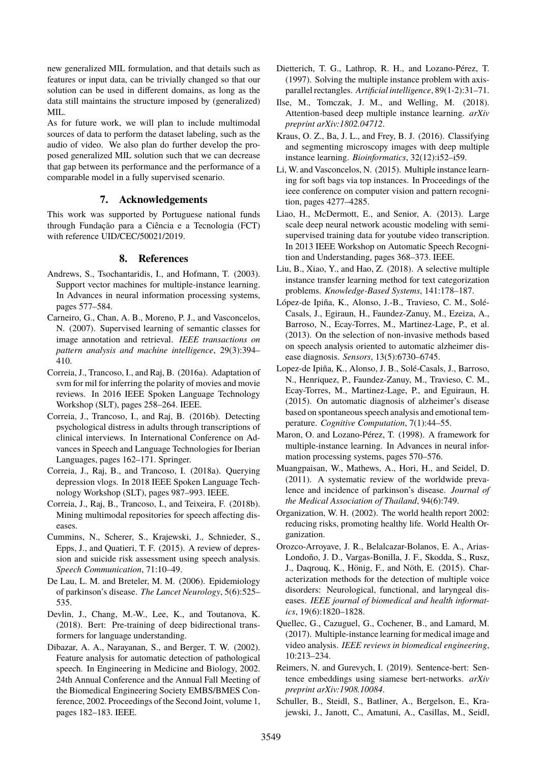new generalized MIL formulation, and that details such as features or input data, can be trivially changed so that our solution can be used in different domains, as long as the data still maintains the structure imposed by (generalized) MIL.

As for future work, we will plan to include multimodal sources of data to perform the dataset labeling, such as the audio of video. We also plan do further develop the proposed generalized MIL solution such that we can decrease that gap between its performance and the performance of a comparable model in a fully supervised scenario.

# **7. Acknowledgements**

This work was supported by Portuguese national funds through Fundação para a Ciência e a Tecnologia (FCT) with reference UID/CEC/50021/2019.

#### **8. References**

- Andrews, S., Tsochantaridis, I., and Hofmann, T. (2003). Support vector machines for multiple-instance learning. In Advances in neural information processing systems, pages 577–584.
- Carneiro, G., Chan, A. B., Moreno, P. J., and Vasconcelos, N. (2007). Supervised learning of semantic classes for image annotation and retrieval. *IEEE transactions on pattern analysis and machine intelligence*, 29(3):394– 410.
- Correia, J., Trancoso, I., and Raj, B. (2016a). Adaptation of svm for mil for inferring the polarity of movies and movie reviews. In 2016 IEEE Spoken Language Technology Workshop (SLT), pages 258–264. IEEE.
- Correia, J., Trancoso, I., and Raj, B. (2016b). Detecting psychological distress in adults through transcriptions of clinical interviews. In International Conference on Advances in Speech and Language Technologies for Iberian Languages, pages 162–171. Springer.
- Correia, J., Raj, B., and Trancoso, I. (2018a). Querying depression vlogs. In 2018 IEEE Spoken Language Technology Workshop (SLT), pages 987–993. IEEE.
- Correia, J., Raj, B., Trancoso, I., and Teixeira, F. (2018b). Mining multimodal repositories for speech affecting diseases.
- Cummins, N., Scherer, S., Krajewski, J., Schnieder, S., Epps, J., and Quatieri, T. F. (2015). A review of depression and suicide risk assessment using speech analysis. *Speech Communication*, 71:10–49.
- De Lau, L. M. and Breteler, M. M. (2006). Epidemiology of parkinson's disease. *The Lancet Neurology*, 5(6):525– 535.
- Devlin, J., Chang, M.-W., Lee, K., and Toutanova, K. (2018). Bert: Pre-training of deep bidirectional transformers for language understanding.
- Dibazar, A. A., Narayanan, S., and Berger, T. W. (2002). Feature analysis for automatic detection of pathological speech. In Engineering in Medicine and Biology, 2002. 24th Annual Conference and the Annual Fall Meeting of the Biomedical Engineering Society EMBS/BMES Conference, 2002. Proceedings of the Second Joint, volume 1, pages 182–183. IEEE.
- Dietterich, T. G., Lathrop, R. H., and Lozano-Pérez, T. (1997). Solving the multiple instance problem with axisparallel rectangles. *Artificial intelligence*, 89(1-2):31–71.
- Ilse, M., Tomczak, J. M., and Welling, M. (2018). Attention-based deep multiple instance learning. *arXiv preprint arXiv:1802.04712*.
- Kraus, O. Z., Ba, J. L., and Frey, B. J. (2016). Classifying and segmenting microscopy images with deep multiple instance learning. *Bioinformatics*, 32(12):i52–i59.
- Li, W. and Vasconcelos, N. (2015). Multiple instance learning for soft bags via top instances. In Proceedings of the ieee conference on computer vision and pattern recognition, pages 4277–4285.
- Liao, H., McDermott, E., and Senior, A. (2013). Large scale deep neural network acoustic modeling with semisupervised training data for youtube video transcription. In 2013 IEEE Workshop on Automatic Speech Recognition and Understanding, pages 368–373. IEEE.
- Liu, B., Xiao, Y., and Hao, Z. (2018). A selective multiple instance transfer learning method for text categorization problems. *Knowledge-Based Systems*, 141:178–187.
- López-de Ipiña, K., Alonso, J.-B., Travieso, C. M., Solé-Casals, J., Egiraun, H., Faundez-Zanuy, M., Ezeiza, A., Barroso, N., Ecay-Torres, M., Martinez-Lage, P., et al. (2013). On the selection of non-invasive methods based on speech analysis oriented to automatic alzheimer disease diagnosis. *Sensors*, 13(5):6730–6745.
- Lopez-de Ipiña, K., Alonso, J. B., Solé-Casals, J., Barroso, N., Henriquez, P., Faundez-Zanuy, M., Travieso, C. M., Ecay-Torres, M., Martinez-Lage, P., and Eguiraun, H. (2015). On automatic diagnosis of alzheimer's disease based on spontaneous speech analysis and emotional temperature. *Cognitive Computation*, 7(1):44–55.
- Maron, O. and Lozano-Pérez, T. (1998). A framework for multiple-instance learning. In Advances in neural information processing systems, pages 570–576.
- Muangpaisan, W., Mathews, A., Hori, H., and Seidel, D. (2011). A systematic review of the worldwide prevalence and incidence of parkinson's disease. *Journal of the Medical Association of Thailand*, 94(6):749.
- Organization, W. H. (2002). The world health report 2002: reducing risks, promoting healthy life. World Health Organization.
- Orozco-Arroyave, J. R., Belalcazar-Bolanos, E. A., Arias-Londoño, J. D., Vargas-Bonilla, J. F., Skodda, S., Rusz, J., Daqrouq, K., Hönig, F., and Nöth, E. (2015). Characterization methods for the detection of multiple voice disorders: Neurological, functional, and laryngeal diseases. *IEEE journal of biomedical and health informatics*, 19(6):1820–1828.
- Quellec, G., Cazuguel, G., Cochener, B., and Lamard, M. (2017). Multiple-instance learning for medical image and video analysis. *IEEE reviews in biomedical engineering*, 10:213–234.
- Reimers, N. and Gurevych, I. (2019). Sentence-bert: Sentence embeddings using siamese bert-networks. *arXiv preprint arXiv:1908.10084*.
- Schuller, B., Steidl, S., Batliner, A., Bergelson, E., Krajewski, J., Janott, C., Amatuni, A., Casillas, M., Seidl,